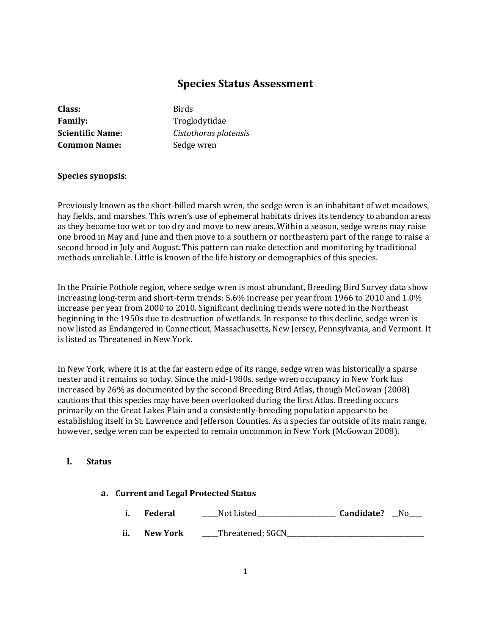# **Species Status Assessment**

| Class:                  |
|-------------------------|
| <b>Family:</b>          |
| <b>Scientific Name:</b> |
| <b>Common Name:</b>     |

**Class:** Birds **Family:** Troglodytidae **Scientific Name:** *Cistothorus platensis* Sedge wren

#### **Species synopsis**:

Previously known as the short-billed marsh wren, the sedge wren is an inhabitant of wet meadows, hay fields, and marshes. This wren's use of ephemeral habitats drives its tendency to abandon areas as they become too wet or too dry and move to new areas. Within a season, sedge wrens may raise one brood in May and June and then move to a southern or northeastern part of the range to raise a second brood in July and August. This pattern can make detection and monitoring by traditional methods unreliable. Little is known of the life history or demographics of this species.

In the Prairie Pothole region, where sedge wren is most abundant, Breeding Bird Survey data show increasing long-term and short-term trends: 5.6% increase per year from 1966 to 2010 and 1.0% increase per year from 2000 to 2010. Significant declining trends were noted in the Northeast beginning in the 1950s due to destruction of wetlands. In response to this decline, sedge wren is now listed as Endangered in Connecticut, Massachusetts, New Jersey, Pennsylvania, and Vermont. It is listed as Threatened in New York.

In New York, where it is at the far eastern edge of its range, sedge wren was historically a sparse nester and it remains so today. Since the mid-1980s, sedge wren occupancy in New York has increased by 26% as documented by the second Breeding Bird Atlas, though McGowan (2008) cautions that this species may have been overlooked during the first Atlas. Breeding occurs primarily on the Great Lakes Plain and a consistently-breeding population appears to be establishing itself in St. Lawrence and Jefferson Counties. As a species far outside of its main range, however, sedge wren can be expected to remain uncommon in New York (McGowan 2008).

# **I. Status**

#### **a. Current and Legal Protected Status**

**i. Federal** \_\_\_\_\_Not Listed\_\_\_\_\_\_\_\_\_\_\_\_\_\_\_\_\_\_\_\_\_\_\_\_ **Candidate?** \_\_No\_\_\_\_ **ii.** New York \_\_\_\_\_Threatened; SGCN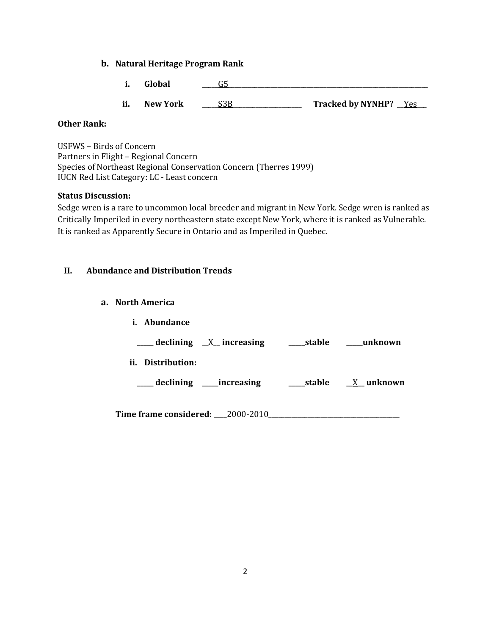# **b. Natural Heritage Program Rank**

- **i. Global**  $\qquad \qquad$  **G5**
- **ii. New York** \_\_\_\_\_S3B\_\_\_\_\_\_\_\_\_\_\_\_\_\_\_\_\_\_\_\_\_ **Tracked by NYNHP?** \_\_Yes\_\_\_

# **Other Rank:**

USFWS – Birds of Concern Partners in Flight – Regional Concern Species of Northeast Regional Conservation Concern (Therres 1999) IUCN Red List Category: LC - Least concern

### **Status Discussion:**

Sedge wren is a rare to uncommon local breeder and migrant in New York. Sedge wren is ranked as Critically Imperiled in every northeastern state except New York, where it is ranked as Vulnerable. It is ranked as Apparently Secure in Ontario and as Imperiled in Quebec.

# **II. Abundance and Distribution Trends**

## **a. North America**

| <i>i.</i> Abundance                              |            |                  |
|--------------------------------------------------|------------|------------------|
| $\frac{1}{2}$ declining $\frac{X}{X}$ increasing | ____stable | unknown          |
| Distribution:<br>ii.                             |            |                  |
| ____ declining _____increasing                   | stable     | <u>X</u> unknown |
|                                                  |            |                  |
| Time frame considered: 2000-2010                 |            |                  |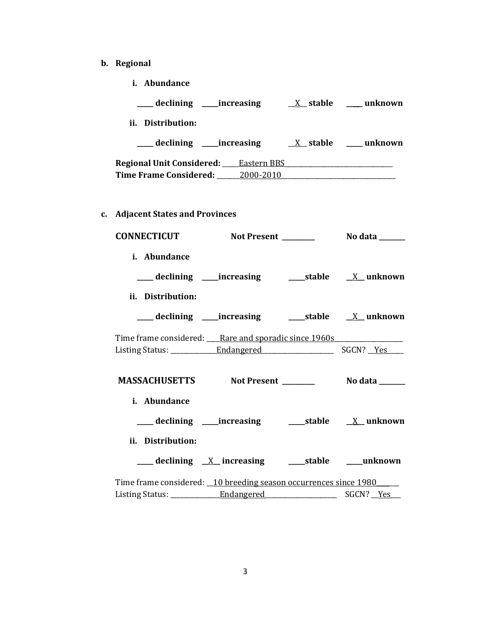- **b. Regional** 
	- **i. Abundance**

|    | declining increasing                         |             | X stable   unknown     |
|----|----------------------------------------------|-------------|------------------------|
|    | ii. Distribution:                            |             |                        |
|    | ____ declining ____increasing                |             | X stable _____ unknown |
|    | <b>Regional Unit Considered:</b> Eastern BBS |             |                        |
|    | Time Frame Considered: 2000-2010             |             |                        |
| c. | <b>Adjacent States and Provinces</b>         |             |                        |
|    | <b>CONNECTICUT</b>                           | Not Present | No data                |

| i. Abundance                                                        |  |  |
|---------------------------------------------------------------------|--|--|
| ___ declining ____increasing ______stable ___ X__unknown            |  |  |
| ii. Distribution:                                                   |  |  |
| ___ declining ____increasing ______stable ___ X__unknown            |  |  |
| Time frame considered: Rare and sporadic since 1960s                |  |  |
|                                                                     |  |  |
|                                                                     |  |  |
|                                                                     |  |  |
|                                                                     |  |  |
| i. Abundance                                                        |  |  |
|                                                                     |  |  |
| ii. Distribution:                                                   |  |  |
| <u>___</u> declining <u>X</u> _ increasing ____ stable ____ unknown |  |  |
| Time frame considered: 10 breeding season occurrences since 1980    |  |  |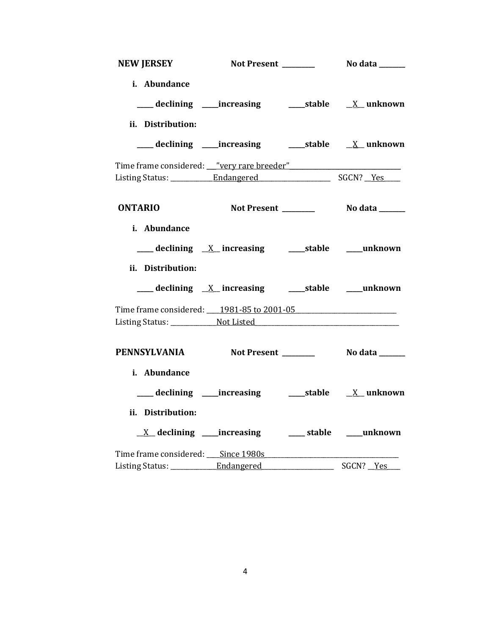| NEW JERSEY                                       |                                                                                             |           |
|--------------------------------------------------|---------------------------------------------------------------------------------------------|-----------|
| i. Abundance                                     |                                                                                             |           |
|                                                  |                                                                                             |           |
| ii. Distribution:                                |                                                                                             |           |
|                                                  |                                                                                             |           |
| Time frame considered: <u>very rare breeder"</u> |                                                                                             |           |
|                                                  |                                                                                             |           |
| <b>ONTARIO</b>                                   |                                                                                             |           |
| i. Abundance                                     |                                                                                             |           |
|                                                  | $\frac{X}{Y}$ declining $\frac{X}{Y}$ increasing $\frac{X}{Y}$ stable $\frac{X}{Y}$ unknown |           |
| ii. Distribution:                                |                                                                                             |           |
|                                                  | ___ declining <u>X</u> increasing ____ stable ___ unknown                                   |           |
| Time frame considered: 1981-85 to 2001-05        |                                                                                             |           |
|                                                  |                                                                                             |           |
| PENNSYLVANIA Not Present ________ No data ______ |                                                                                             |           |
| i. Abundance                                     |                                                                                             |           |
|                                                  |                                                                                             |           |
| ii. Distribution:                                |                                                                                             |           |
|                                                  | $\underline{X}$ declining ____increasing ___________stable _____unknown                     |           |
|                                                  |                                                                                             |           |
|                                                  |                                                                                             | SGCN? Yes |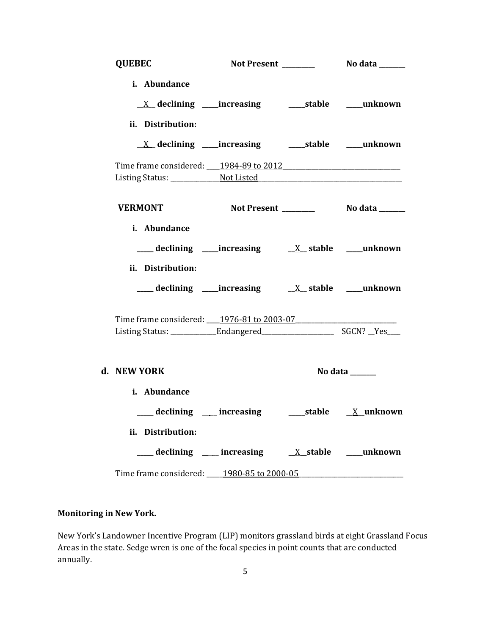| <b>QUEBEC</b>                                                    |                                                            |                                     |
|------------------------------------------------------------------|------------------------------------------------------------|-------------------------------------|
| i. Abundance<br>ii. Distribution:                                | <u>X</u> declining ____increasing ______stable ____unknown |                                     |
|                                                                  |                                                            |                                     |
| Time frame considered: 1984-89 to 2012                           |                                                            |                                     |
|                                                                  |                                                            |                                     |
| <b>VERMONT</b>                                                   |                                                            |                                     |
| i. Abundance<br>ii. Distribution:                                |                                                            |                                     |
|                                                                  |                                                            |                                     |
| Time frame considered: 1976-81 to 2003-07                        |                                                            |                                     |
| d. NEW YORK                                                      |                                                            | No data ______                      |
| i. Abundance<br>___ declining __ increasing<br>ii. Distribution: |                                                            | _____stable ____ <u>X__</u> unknown |
|                                                                  | declining ___ increasing ___ X_stable ____unknown          |                                     |
| Time frame considered: 1980-85 to 2000-05                        |                                                            |                                     |

# **Monitoring in New York.**

New York's Landowner Incentive Program (LIP) monitors grassland birds at eight Grassland Focus Areas in the state. Sedge wren is one of the focal species in point counts that are conducted annually.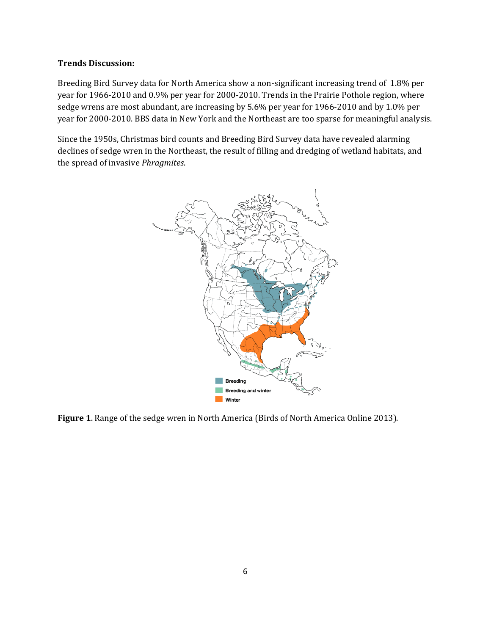#### **Trends Discussion:**

Breeding Bird Survey data for North America show a non-significant increasing trend of 1.8% per year for 1966-2010 and 0.9% per year for 2000-2010. Trends in the Prairie Pothole region, where sedge wrens are most abundant, are increasing by 5.6% per year for 1966-2010 and by 1.0% per year for 2000-2010. BBS data in New York and the Northeast are too sparse for meaningful analysis.

Since the 1950s, Christmas bird counts and Breeding Bird Survey data have revealed alarming declines of sedge wren in the Northeast, the result of filling and dredging of wetland habitats, and the spread of invasive *Phragmites*.



**Figure 1**. Range of the sedge wren in North America (Birds of North America Online 2013).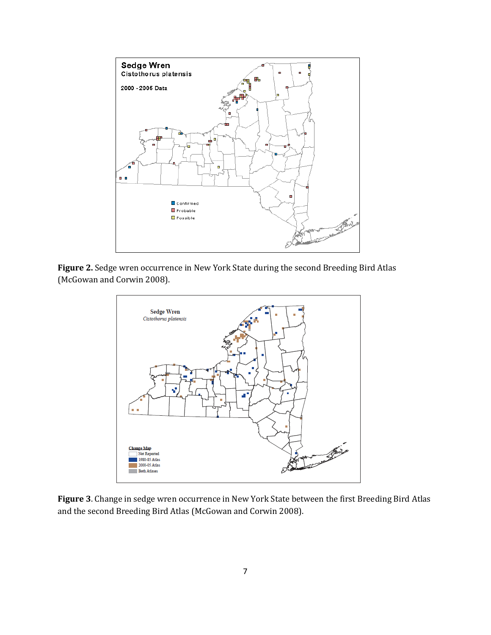

**Figure 2.** Sedge wren occurrence in New York State during the second Breeding Bird Atlas (McGowan and Corwin 2008).



**Figure 3**. Change in sedge wren occurrence in New York State between the first Breeding Bird Atlas and the second Breeding Bird Atlas (McGowan and Corwin 2008).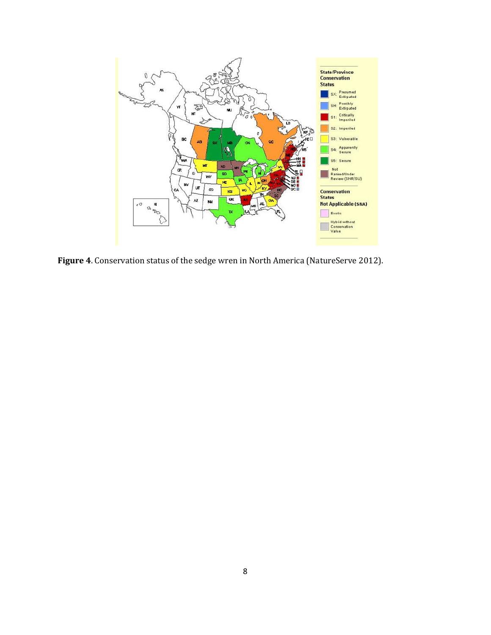

**Figure 4**. Conservation status of the sedge wren in North America (NatureServe 2012).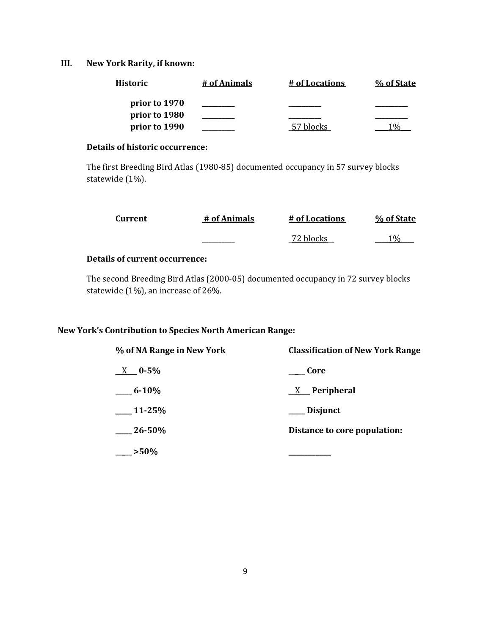# **III. New York Rarity, if known:**

| <b>Historic</b> | # of Animals | # of Locations | % of State |
|-----------------|--------------|----------------|------------|
| prior to 1970   |              |                |            |
| prior to 1980   |              |                |            |
| prior to 1990   |              | 57 blocks      |            |

## **Details of historic occurrence:**

The first Breeding Bird Atlas (1980-85) documented occupancy in 57 survey blocks statewide (1%).

| Current | # of Animals | # of Locations | % of State |
|---------|--------------|----------------|------------|
|         | _________    | 72 blocks      | 10/ $\sim$ |

# **Details of current occurrence:**

The second Breeding Bird Atlas (2000-05) documented occupancy in 72 survey blocks statewide (1%), an increase of 26%.

# **New York's Contribution to Species North American Range:**

| % of NA Range in New York | <b>Classification of New York Range</b> |
|---------------------------|-----------------------------------------|
| $X = 0.5\%$               | Core                                    |
| $6 - 10\%$                | $X$ Peripheral                          |
| $\_11 - 25\%$             | ___ Disjunct                            |
| $26 - 50\%$               | Distance to core population:            |
| $>50\%$                   |                                         |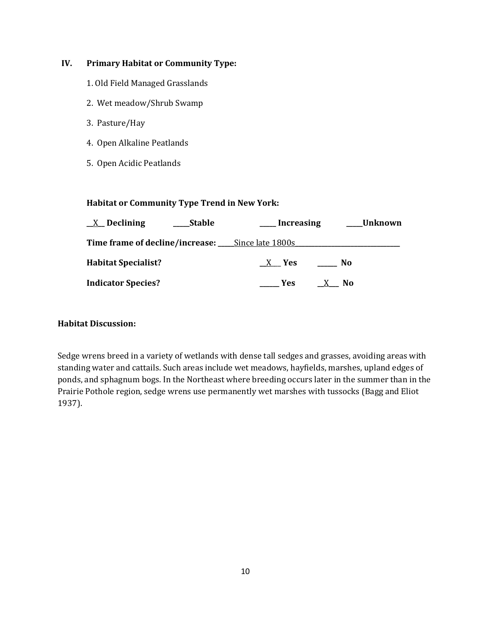# **IV. Primary Habitat or Community Type:**

- 1. Old Field Managed Grasslands
- 2. Wet meadow/Shrub Swamp
- 3. Pasture/Hay
- 4. Open Alkaline Peatlands
- 5. Open Acidic Peatlands

# **Habitat or Community Type Trend in New York:**

| <u>X</u> Declining<br><b>Stable</b>                     | __Increasing    | ___Unknown |
|---------------------------------------------------------|-----------------|------------|
| <b>Time frame of decline/increase:</b> Since late 1800s |                 |            |
| <b>Habitat Specialist?</b>                              | $X$ Yes         | No         |
| <b>Indicator Species?</b>                               | <b>Paragona</b> | X No       |

### **Habitat Discussion:**

Sedge wrens breed in a variety of wetlands with dense tall sedges and grasses, avoiding areas with standing water and cattails. Such areas include wet meadows, hayfields, marshes, upland edges of ponds, and sphagnum bogs. In the Northeast where breeding occurs later in the summer than in the Prairie Pothole region, sedge wrens use permanently wet marshes with tussocks (Bagg and Eliot 1937).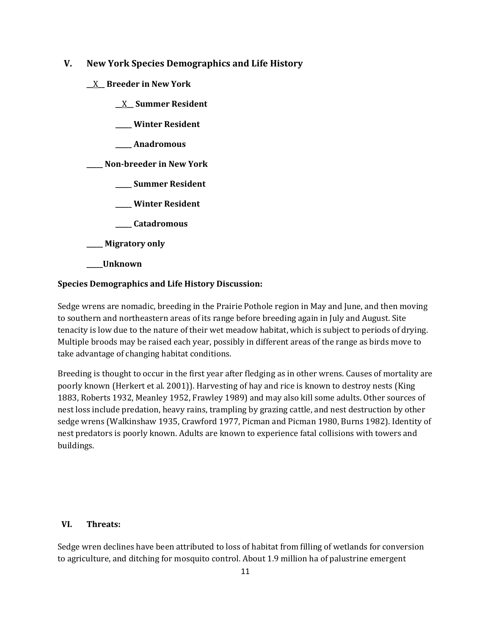# **V. New York Species Demographics and Life History**

- **\_\_**X**\_\_ Breeder in New York**
	- **\_\_**X**\_\_ Summer Resident**
	- **\_\_\_\_\_ Winter Resident**
	- **\_\_\_\_\_ Anadromous**

**\_\_\_\_\_ Non-breeder in New York**

- **\_\_\_\_\_ Summer Resident**
- **\_\_\_\_\_ Winter Resident**
- **\_\_\_\_\_ Catadromous**
- **\_\_\_\_\_ Migratory only**
- **\_\_\_\_\_Unknown**

# **Species Demographics and Life History Discussion:**

Sedge wrens are nomadic, breeding in the Prairie Pothole region in May and June, and then moving to southern and northeastern areas of its range before breeding again in July and August. Site tenacity is low due to the nature of their wet meadow habitat, which is subject to periods of drying. Multiple broods may be raised each year, possibly in different areas of the range as birds move to take advantage of changing habitat conditions.

Breeding is thought to occur in the first year after fledging as in other wrens. Causes of mortality are poorly known (Herkert et al. 2001)). Harvesting of hay and rice is known to destroy nests (King 1883, Roberts 1932, Meanley 1952, Frawley 1989) and may also kill some adults. Other sources of nest loss include predation, heavy rains, trampling by grazing cattle, and nest destruction by other sedge wrens (Walkinshaw 1935, Crawford 1977, Picman and Picman 1980, Burns 1982). Identity of nest predators is poorly known. Adults are known to experience fatal collisions with towers and buildings.

### **VI. Threats:**

Sedge wren declines have been attributed to loss of habitat from filling of wetlands for conversion to agriculture, and ditching for mosquito control. About 1.9 million ha of palustrine emergent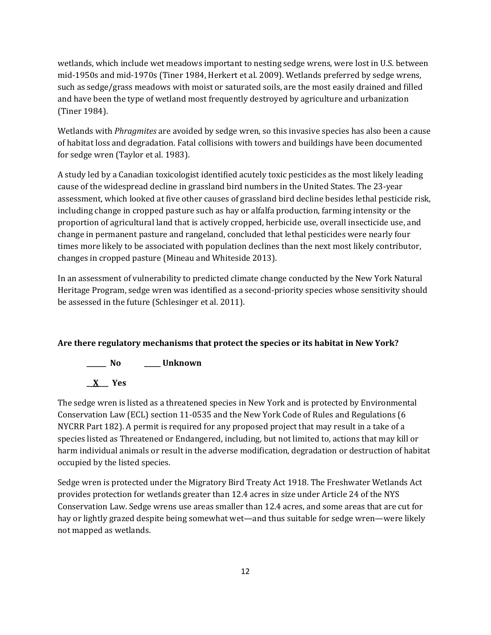wetlands, which include wet meadows important to nesting sedge wrens, were lost in U.S. between mid-1950s and mid-1970s (Tiner 1984, Herkert et al. 2009). Wetlands preferred by sedge wrens, such as sedge/grass meadows with moist or saturated soils, are the most easily drained and filled and have been the type of wetland most frequently destroyed by agriculture and urbanization (Tiner 1984).

Wetlands with *Phragmites* are avoided by sedge wren, so this invasive species has also been a cause of habitat loss and degradation. Fatal collisions with towers and buildings have been documented for sedge wren (Taylor et al. 1983).

A study led by a Canadian toxicologist identified acutely toxic pesticides as the most likely leading cause of the widespread decline in grassland bird numbers in the United States. The 23-year assessment, which looked at five other causes of grassland bird decline besides lethal pesticide risk, including change in cropped pasture such as hay or alfalfa production, farming intensity or the proportion of agricultural land that is actively cropped, herbicide use, overall insecticide use, and change in permanent pasture and rangeland, concluded that lethal pesticides were nearly four times more likely to be associated with population declines than the next most likely contributor, changes in cropped pasture (Mineau and Whiteside 2013).

In an assessment of vulnerability to predicted climate change conducted by the New York Natural Heritage Program, sedge wren was identified as a second-priority species whose sensitivity should be assessed in the future (Schlesinger et al. 2011).

# **Are there regulatory mechanisms that protect the species or its habitat in New York?**

# **\_\_\_\_\_\_ No \_\_\_\_\_ Unknown**

**\_\_X\_\_\_ Yes**

The sedge wren is listed as a threatened species in New York and is protected by Environmental Conservation Law (ECL) section 11-0535 and the New York Code of Rules and Regulations (6 NYCRR Part 182). A permit is required for any proposed project that may result in a take of a species listed as Threatened or Endangered, including, but not limited to, actions that may kill or harm individual animals or result in the adverse modification, degradation or destruction of habitat occupied by the listed species.

Sedge wren is protected under the Migratory Bird Treaty Act 1918. The Freshwater Wetlands Act provides protection for wetlands greater than 12.4 acres in size under Article 24 of the NYS Conservation Law. Sedge wrens use areas smaller than 12.4 acres, and some areas that are cut for hay or lightly grazed despite being somewhat wet—and thus suitable for sedge wren—were likely not mapped as wetlands.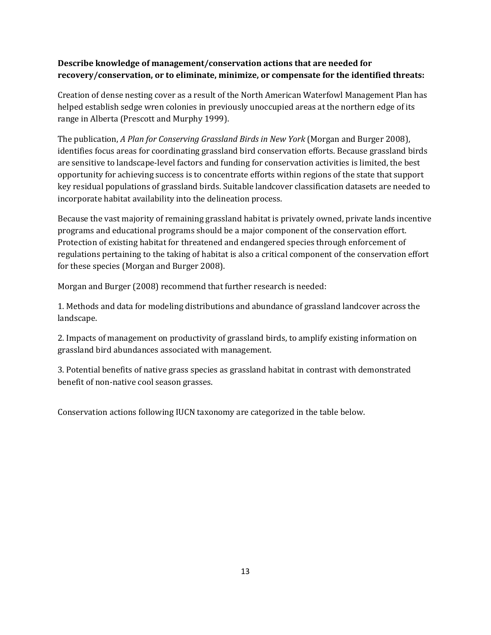# **Describe knowledge of management/conservation actions that are needed for recovery/conservation, or to eliminate, minimize, or compensate for the identified threats:**

Creation of dense nesting cover as a result of the North American Waterfowl Management Plan has helped establish sedge wren colonies in previously unoccupied areas at the northern edge of its range in Alberta (Prescott and Murphy 1999).

The publication, *A Plan for Conserving Grassland Birds in New York* (Morgan and Burger 2008), identifies focus areas for coordinating grassland bird conservation efforts. Because grassland birds are sensitive to landscape-level factors and funding for conservation activities is limited, the best opportunity for achieving success is to concentrate efforts within regions of the state that support key residual populations of grassland birds. Suitable landcover classification datasets are needed to incorporate habitat availability into the delineation process.

Because the vast majority of remaining grassland habitat is privately owned, private lands incentive programs and educational programs should be a major component of the conservation effort. Protection of existing habitat for threatened and endangered species through enforcement of regulations pertaining to the taking of habitat is also a critical component of the conservation effort for these species (Morgan and Burger 2008).

Morgan and Burger (2008) recommend that further research is needed:

1. Methods and data for modeling distributions and abundance of grassland landcover across the landscape.

2. Impacts of management on productivity of grassland birds, to amplify existing information on grassland bird abundances associated with management.

3. Potential benefits of native grass species as grassland habitat in contrast with demonstrated benefit of non-native cool season grasses.

Conservation actions following IUCN taxonomy are categorized in the table below.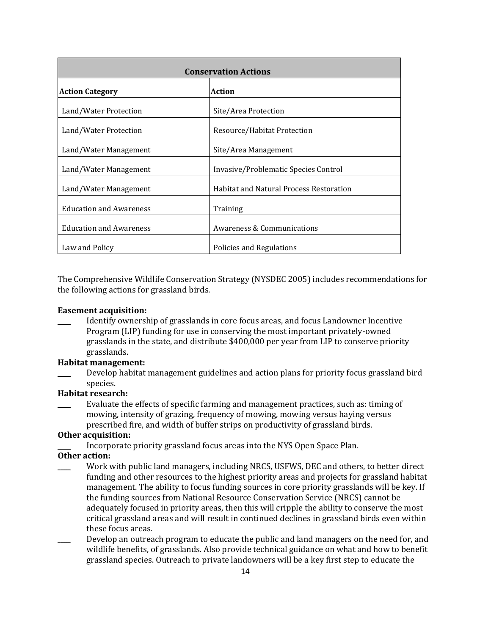| <b>Conservation Actions</b>    |                                                |  |
|--------------------------------|------------------------------------------------|--|
| <b>Action Category</b>         | <b>Action</b>                                  |  |
| Land/Water Protection          | Site/Area Protection                           |  |
| Land/Water Protection          | Resource/Habitat Protection                    |  |
| Land/Water Management          | Site/Area Management                           |  |
| Land/Water Management          | Invasive/Problematic Species Control           |  |
| Land/Water Management          | <b>Habitat and Natural Process Restoration</b> |  |
| <b>Education and Awareness</b> | Training                                       |  |
| <b>Education and Awareness</b> | Awareness & Communications                     |  |
| Law and Policy                 | Policies and Regulations                       |  |

The Comprehensive Wildlife Conservation Strategy (NYSDEC 2005) includes recommendations for the following actions for grassland birds.

#### **Easement acquisition:**

\_\_\_\_ Identify ownership of grasslands in core focus areas, and focus Landowner Incentive Program (LIP) funding for use in conserving the most important privately-owned grasslands in the state, and distribute \$400,000 per year from LIP to conserve priority grasslands.

### **Habitat management:**

\_\_\_\_ Develop habitat management guidelines and action plans for priority focus grassland bird species.

# **Habitat research:**

Evaluate the effects of specific farming and management practices, such as: timing of mowing, intensity of grazing, frequency of mowing, mowing versus haying versus prescribed fire, and width of buffer strips on productivity of grassland birds.

#### **Other acquisition:**

Incorporate priority grassland focus areas into the NYS Open Space Plan.

## **Other action:**

- Work with public land managers, including NRCS, USFWS, DEC and others, to better direct funding and other resources to the highest priority areas and projects for grassland habitat management. The ability to focus funding sources in core priority grasslands will be key. If the funding sources from National Resource Conservation Service (NRCS) cannot be adequately focused in priority areas, then this will cripple the ability to conserve the most critical grassland areas and will result in continued declines in grassland birds even within these focus areas.
- Develop an outreach program to educate the public and land managers on the need for, and wildlife benefits, of grasslands. Also provide technical guidance on what and how to benefit grassland species. Outreach to private landowners will be a key first step to educate the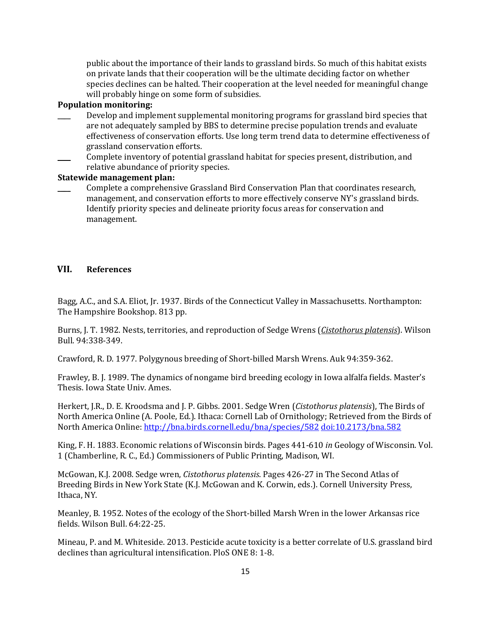public about the importance of their lands to grassland birds. So much of this habitat exists on private lands that their cooperation will be the ultimate deciding factor on whether species declines can be halted. Their cooperation at the level needed for meaningful change will probably hinge on some form of subsidies.

#### **Population monitoring:**

- Develop and implement supplemental monitoring programs for grassland bird species that are not adequately sampled by BBS to determine precise population trends and evaluate effectiveness of conservation efforts. Use long term trend data to determine effectiveness of grassland conservation efforts.
- Complete inventory of potential grassland habitat for species present, distribution, and relative abundance of priority species.

### **Statewide management plan:**

\_\_\_\_ Complete a comprehensive Grassland Bird Conservation Plan that coordinates research, management, and conservation efforts to more effectively conserve NY's grassland birds. Identify priority species and delineate priority focus areas for conservation and management.

#### **VII. References**

Bagg, A.C., and S.A. Eliot, Jr. 1937. Birds of the Connecticut Valley in Massachusetts*.* Northampton: The Hampshire Bookshop. 813 pp.

Burns, J. T. 1982. Nests, territories, and reproduction of Sedge Wrens (*Cistothorus platensis*). Wilson Bull. 94:338-349.

Crawford, R. D. 1977. Polygynous breeding of Short-billed Marsh Wrens. Auk 94:359-362.

Frawley, B. J. 1989. The dynamics of nongame bird breeding ecology in Iowa alfalfa fields. Master's Thesis. Iowa State Univ. Ames.

Herkert, J.R., D. E. Kroodsma and J. P. Gibbs. 2001. Sedge Wren (*Cistothorus platensis*), The Birds of North America Online (A. Poole, Ed.). Ithaca: Cornell Lab of Ornithology; Retrieved from the Birds of North America Online[: http://bna.birds.cornell.edu/bna/species/582](http://bna.birds.cornell.edu/bna/species/582) [doi:10.2173/bna.582](http://dx.doi.org/10.2173/bna.582)

King, F. H. 1883. Economic relations of Wisconsin birds. Pages 441-610 *in* Geology of Wisconsin. Vol. 1 (Chamberline, R. C., Ed.) Commissioners of Public Printing, Madison, WI.

McGowan, K.J. 2008. Sedge wren, *Cistothorus platensis*. Pages 426-27 in The Second Atlas of Breeding Birds in New York State (K.J. McGowan and K. Corwin, eds.). Cornell University Press, Ithaca, NY.

Meanley, B. 1952. Notes of the ecology of the Short-billed Marsh Wren in the lower Arkansas rice fields. Wilson Bull. 64:22-25.

Mineau, P. and M. Whiteside. 2013. Pesticide acute toxicity is a better correlate of U.S. grassland bird declines than agricultural intensification. PloS ONE 8: 1-8.